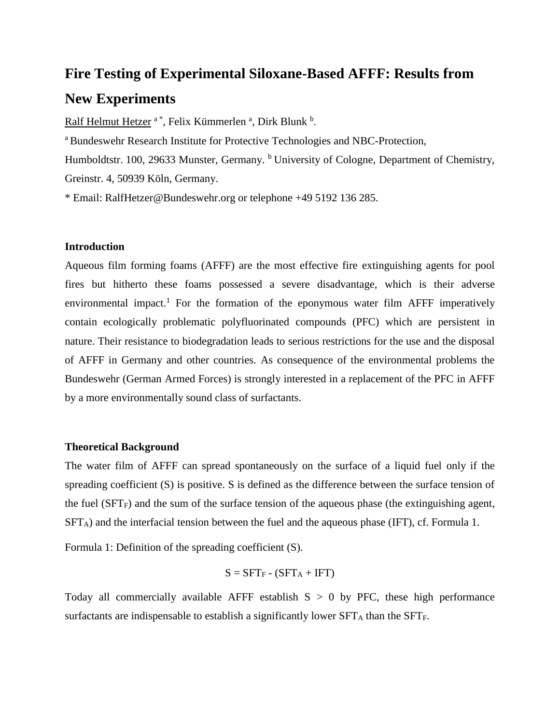# **Fire Testing of Experimental Siloxane-Based AFFF: Results from New Experiments**

Ralf Helmut Hetzer <sup>a\*</sup>, Felix Kümmerlen <sup>a</sup>, Dirk Blunk <sup>b</sup>.

<sup>a</sup> Bundeswehr Research Institute for Protective Technologies and NBC-Protection,

Humboldtstr. 100, 29633 Munster, Germany. <sup>b</sup> University of Cologne, Department of Chemistry, Greinstr. 4, 50939 Köln, Germany.

\* Email: RalfHetzer@Bundeswehr.org or telephone +49 5192 136 285.

#### **Introduction**

Aqueous film forming foams (AFFF) are the most effective fire extinguishing agents for pool fires but hitherto these foams possessed a severe disadvantage, which is their adverse environmental impact.<sup>1</sup> For the formation of the eponymous water film AFFF imperatively contain ecologically problematic polyfluorinated compounds (PFC) which are persistent in nature. Their resistance to biodegradation leads to serious restrictions for the use and the disposal of AFFF in Germany and other countries. As consequence of the environmental problems the Bundeswehr (German Armed Forces) is strongly interested in a replacement of the PFC in AFFF by a more environmentally sound class of surfactants.

#### **Theoretical Background**

The water film of AFFF can spread spontaneously on the surface of a liquid fuel only if the spreading coefficient (S) is positive. S is defined as the difference between the surface tension of the fuel  $(SFT_F)$  and the sum of the surface tension of the aqueous phase (the extinguishing agent, SFTA) and the interfacial tension between the fuel and the aqueous phase (IFT), cf. Formula 1.

Formula 1: Definition of the spreading coefficient (S).

$$
S = SFT_F - (SFT_A + IFT)
$$

Today all commercially available AFFF establish  $S > 0$  by PFC, these high performance surfactants are indispensable to establish a significantly lower  $SFT_A$  than the  $SFT_F$ .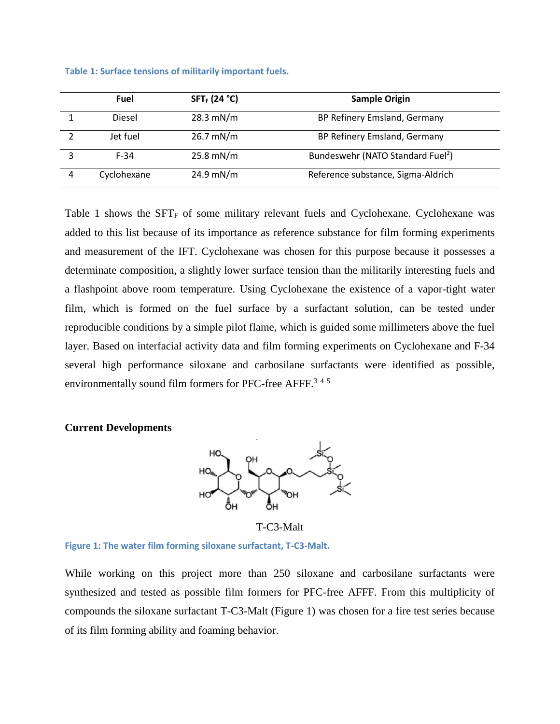|   | Fuel        | $SFT_F (24 °C)$     | <b>Sample Origin</b>                          |
|---|-------------|---------------------|-----------------------------------------------|
|   | Diesel      | $28.3$ mN/m         | BP Refinery Emsland, Germany                  |
|   | Jet fuel    | $26.7 \text{ mN/m}$ | BP Refinery Emsland, Germany                  |
|   | $F-34$      | $25.8$ mN/m         | Bundeswehr (NATO Standard Fuel <sup>2</sup> ) |
| 4 | Cyclohexane | 24.9 mN/m           | Reference substance, Sigma-Aldrich            |

<span id="page-1-0"></span>**Table 1: Surface tensions of militarily important fuels.**

[Table 1](#page-1-0) shows the  $SFT<sub>F</sub>$  of some military relevant fuels and Cyclohexane. Cyclohexane was added to this list because of its importance as reference substance for film forming experiments and measurement of the IFT. Cyclohexane was chosen for this purpose because it possesses a determinate composition, a slightly lower surface tension than the militarily interesting fuels and a flashpoint above room temperature. Using Cyclohexane the existence of a vapor-tight water film, which is formed on the fuel surface by a surfactant solution, can be tested under reproducible conditions by a simple pilot flame, which is guided some millimeters above the fuel layer. Based on interfacial activity data and film forming experiments on Cyclohexane and F-34 several high performance siloxane and carbosilane surfactants were identified as possible, environmentally sound film formers for PFC-free AFFF.<sup>345</sup>

### **Current Developments**



T-C3-Malt

**Figure 1: The water film forming siloxane surfactant, T-C3-Malt.**

While working on this project more than 250 siloxane and carbosilane surfactants were synthesized and tested as possible film formers for PFC-free AFFF. From this multiplicity of compounds the siloxane surfactant T-C3-Malt (Figure 1) was chosen for a fire test series because of its film forming ability and foaming behavior.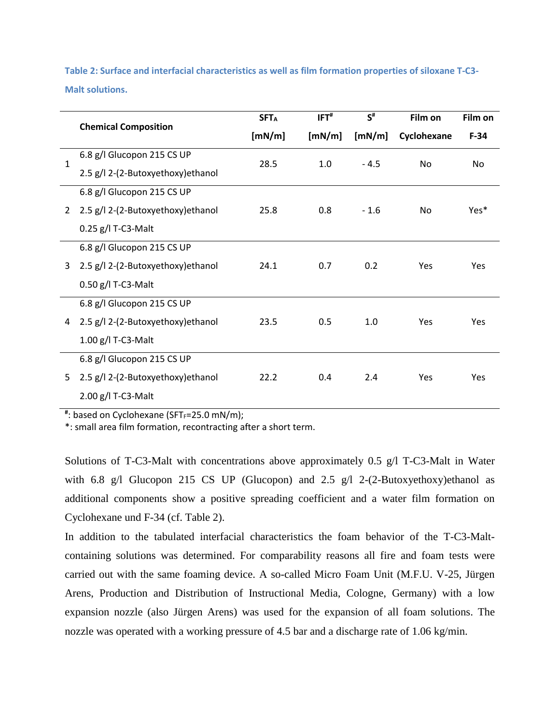<span id="page-2-0"></span>**Table 2: Surface and interfacial characteristics as well as film formation properties of siloxane T-C3- Malt solutions.**

|                |                                    | <b>SFTA</b> | IFT <sup>#</sup> | $S^{\#}$ | Film on        | Film on |
|----------------|------------------------------------|-------------|------------------|----------|----------------|---------|
|                | <b>Chemical Composition</b>        | [mN/m]      | [mN/m]           | [mN/m]   | Cyclohexane    | $F-34$  |
| $\mathbf{1}$   | 6.8 g/l Glucopon 215 CS UP         |             | 1.0              | $-4.5$   | N <sub>0</sub> | No.     |
|                | 2.5 g/l 2-(2-Butoxyethoxy)ethanol  | 28.5        |                  |          |                |         |
| $\overline{2}$ | 6.8 g/l Glucopon 215 CS UP         |             | 0.8              | $-1.6$   | N <sub>0</sub> | Yes*    |
|                | 2.5 g/l 2-(2-Butoxyethoxy)ethanol  | 25.8        |                  |          |                |         |
|                | $0.25$ g/l T-C3-Malt               |             |                  |          |                |         |
| 3              | 6.8 g/l Glucopon 215 CS UP         | 24.1        | 0.7              | 0.2      | Yes            | Yes     |
|                | 2.5 g/l 2-(2-Butoxyethoxy) ethanol |             |                  |          |                |         |
|                | 0.50 g/l T-C3-Malt                 |             |                  |          |                |         |
|                | 6.8 g/l Glucopon 215 CS UP         |             |                  | 1.0      | Yes            | Yes     |
| 4              | 2.5 g/l 2-(2-Butoxyethoxy)ethanol  | 23.5        | 0.5              |          |                |         |
|                | 1.00 g/l T-C3-Malt                 |             |                  |          |                |         |
| 5              | 6.8 g/l Glucopon 215 CS UP         |             |                  |          |                |         |
|                | 2.5 g/l 2-(2-Butoxyethoxy) ethanol | 22.2        | 0.4              | 2.4      | Yes            | Yes     |
|                | 2.00 g/l T-C3-Malt                 |             |                  |          |                |         |

#: based on Cyclohexane (SFT<sub>F</sub>=25.0 mN/m);

\*: small area film formation, recontracting after a short term.

Solutions of T-C3-Malt with concentrations above approximately 0.5 g/l T-C3-Malt in Water with 6.8 g/l Glucopon 215 CS UP (Glucopon) and 2.5 g/l 2-(2-Butoxyethoxy)ethanol as additional components show a positive spreading coefficient and a water film formation on Cyclohexane und F-34 (cf. [Table 2\)](#page-2-0).

In addition to the tabulated interfacial characteristics the foam behavior of the T-C3-Maltcontaining solutions was determined. For comparability reasons all fire and foam tests were carried out with the same foaming device. A so-called Micro Foam Unit (M.F.U. V-25, Jürgen Arens, Production and Distribution of Instructional Media, Cologne, Germany) with a low expansion nozzle (also Jürgen Arens) was used for the expansion of all foam solutions. The nozzle was operated with a working pressure of 4.5 bar and a discharge rate of 1.06 kg/min.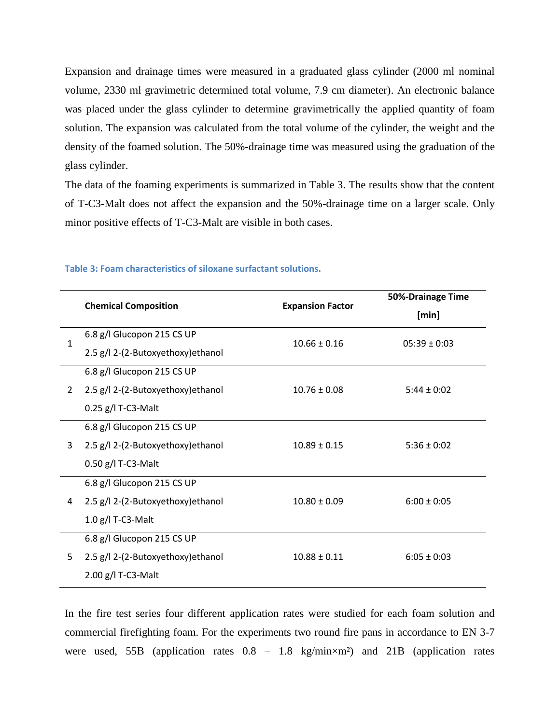Expansion and drainage times were measured in a graduated glass cylinder (2000 ml nominal volume, 2330 ml gravimetric determined total volume, 7.9 cm diameter). An electronic balance was placed under the glass cylinder to determine gravimetrically the applied quantity of foam solution. The expansion was calculated from the total volume of the cylinder, the weight and the density of the foamed solution. The 50%-drainage time was measured using the graduation of the glass cylinder.

The data of the foaming experiments is summarized in [Table 3.](#page-3-0) The results show that the content of T-C3-Malt does not affect the expansion and the 50%-drainage time on a larger scale. Only minor positive effects of T-C3-Malt are visible in both cases.

|   |                                    |                         | 50%-Drainage Time |  |
|---|------------------------------------|-------------------------|-------------------|--|
|   | <b>Chemical Composition</b>        | <b>Expansion Factor</b> | [min]             |  |
| 1 | 6.8 g/l Glucopon 215 CS UP         | $10.66 \pm 0.16$        | $05:39 \pm 0:03$  |  |
|   | 2.5 g/l 2-(2-Butoxyethoxy)ethanol  |                         |                   |  |
| 2 | 6.8 g/l Glucopon 215 CS UP         |                         |                   |  |
|   | 2.5 g/l 2-(2-Butoxyethoxy) ethanol | $10.76 \pm 0.08$        | $5:44 \pm 0:02$   |  |
|   | 0.25 g/l T-C3-Malt                 |                         |                   |  |
| 3 | 6.8 g/l Glucopon 215 CS UP         |                         |                   |  |
|   | 2.5 g/l 2-(2-Butoxyethoxy)ethanol  | $10.89 \pm 0.15$        | $5:36 \pm 0:02$   |  |
|   | 0.50 g/l T-C3-Malt                 |                         |                   |  |
| 4 | 6.8 g/l Glucopon 215 CS UP         |                         |                   |  |
|   | 2.5 g/l 2-(2-Butoxyethoxy)ethanol  | $10.80 \pm 0.09$        | $6:00 \pm 0:05$   |  |
|   | $1.0$ g/l T-C3-Malt                |                         |                   |  |
| 5 | 6.8 g/l Glucopon 215 CS UP         |                         |                   |  |
|   | 2.5 g/l 2-(2-Butoxyethoxy)ethanol  | $10.88 \pm 0.11$        | $6:05 \pm 0:03$   |  |
|   | 2.00 g/l T-C3-Malt                 |                         |                   |  |

## <span id="page-3-0"></span>**Table 3: Foam characteristics of siloxane surfactant solutions.**

In the fire test series four different application rates were studied for each foam solution and commercial firefighting foam. For the experiments two round fire pans in accordance to EN 3-7 were used, 55B (application rates  $0.8 - 1.8$  kg/min $\times$ m<sup>2</sup>) and 21B (application rates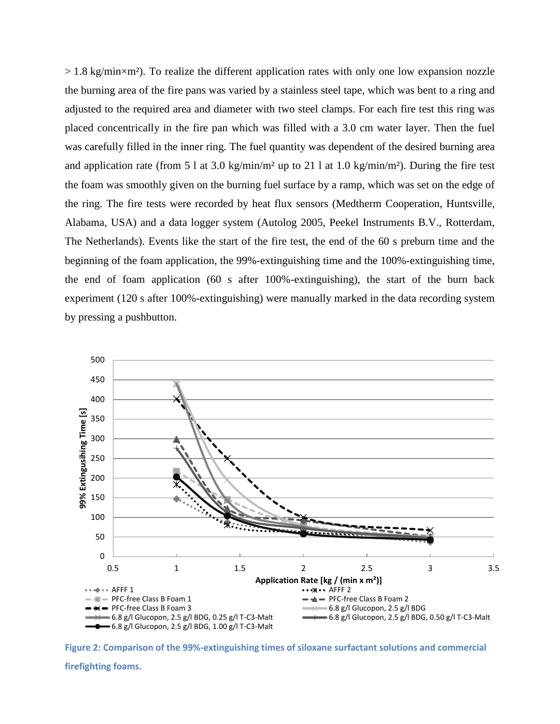$> 1.8$  kg/min $\times$ m<sup>2</sup>). To realize the different application rates with only one low expansion nozzle the burning area of the fire pans was varied by a stainless steel tape, which was bent to a ring and adjusted to the required area and diameter with two steel clamps. For each fire test this ring was placed concentrically in the fire pan which was filled with a 3.0 cm water layer. Then the fuel was carefully filled in the inner ring. The fuel quantity was dependent of the desired burning area and application rate (from 5 l at 3.0 kg/min/m<sup>2</sup> up to 21 l at 1.0 kg/min/m<sup>2</sup>). During the fire test the foam was smoothly given on the burning fuel surface by a ramp, which was set on the edge of the ring. The fire tests were recorded by heat flux sensors (Medtherm Cooperation, Huntsville, Alabama, USA) and a data logger system (Autolog 2005, Peekel Instruments B.V., Rotterdam, The Netherlands). Events like the start of the fire test, the end of the 60 s preburn time and the beginning of the foam application, the 99%-extinguishing time and the 100%-extinguishing time, the end of foam application (60 s after 100%-extinguishing), the start of the burn back experiment (120 s after 100%-extinguishing) were manually marked in the data recording system by pressing a pushbutton.



<span id="page-4-0"></span>**Figure 2: Comparison of the 99%-extinguishing times of siloxane surfactant solutions and commercial**

**firefighting foams.**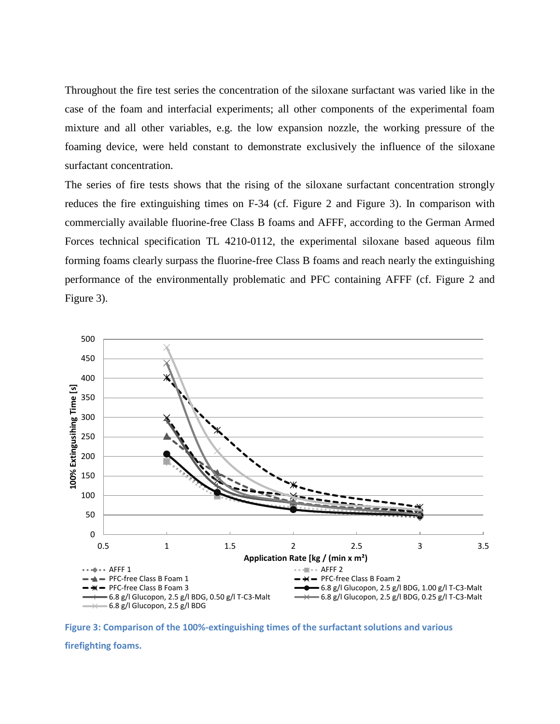Throughout the fire test series the concentration of the siloxane surfactant was varied like in the case of the foam and interfacial experiments; all other components of the experimental foam mixture and all other variables, e.g. the low expansion nozzle, the working pressure of the foaming device, were held constant to demonstrate exclusively the influence of the siloxane surfactant concentration.

The series of fire tests shows that the rising of the siloxane surfactant concentration strongly reduces the fire extinguishing times on F-34 (cf. [Figure 2](#page-4-0) and [Figure 3\)](#page-5-0). In comparison with commercially available fluorine-free Class B foams and AFFF, according to the German Armed Forces technical specification TL 4210-0112, the experimental siloxane based aqueous film forming foams clearly surpass the fluorine-free Class B foams and reach nearly the extinguishing performance of the environmentally problematic and PFC containing AFFF (cf. [Figure 2](#page-4-0) and [Figure 3\)](#page-5-0).



<span id="page-5-0"></span>**Figure 3: Comparison of the 100%-extinguishing times of the surfactant solutions and various** 

**firefighting foams.**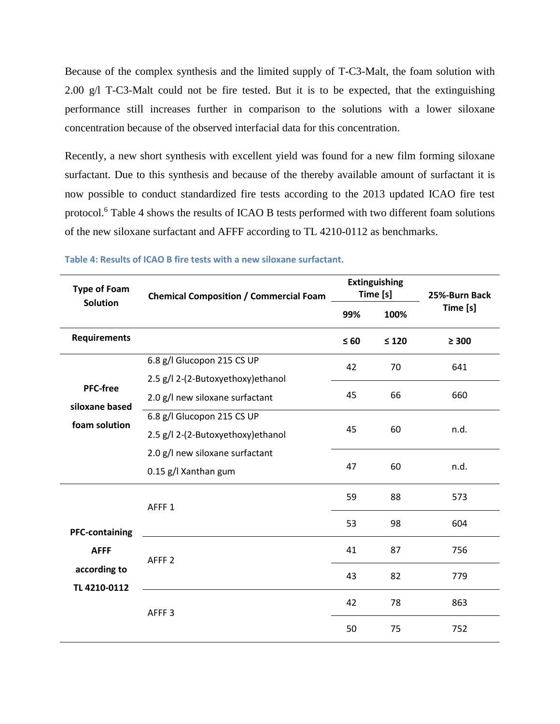Because of the complex synthesis and the limited supply of T-C3-Malt, the foam solution with 2.00 g/l T-C3-Malt could not be fire tested. But it is to be expected, that the extinguishing performance still increases further in comparison to the solutions with a lower siloxane concentration because of the observed interfacial data for this concentration.

Recently, a new short synthesis with excellent yield was found for a new film forming siloxane surfactant. Due to this synthesis and because of the thereby available amount of surfactant it is now possible to conduct standardized fire tests according to the 2013 updated ICAO fire test protocol.<sup>6</sup> [Table 4](#page-6-0) shows the results of ICAO B tests performed with two different foam solutions of the new siloxane surfactant and AFFF according to TL 4210-0112 as benchmarks.

| <b>Type of Foam</b>          | <b>Chemical Composition / Commercial Foam</b> | <b>Extinguishing</b><br>Time [s] |            | 25%-Burn Back |
|------------------------------|-----------------------------------------------|----------------------------------|------------|---------------|
| <b>Solution</b>              |                                               | 99%                              | 100%       | Time [s]      |
| <b>Requirements</b>          |                                               | $\leq 60$                        | $\leq 120$ | $\geq 300$    |
|                              | 6.8 g/l Glucopon 215 CS UP                    | 42                               | 70         | 641           |
| <b>PFC-free</b>              | 2.5 g/l 2-(2-Butoxyethoxy)ethanol             |                                  | 66         | 660           |
| siloxane based               | 2.0 g/l new siloxane surfactant               | 45                               |            |               |
| foam solution                | 6.8 g/l Glucopon 215 CS UP                    |                                  | 60         | n.d.          |
|                              | 2.5 g/l 2-(2-Butoxyethoxy)ethanol             | 45                               |            |               |
|                              | 2.0 g/l new siloxane surfactant               |                                  |            |               |
|                              | 0.15 g/l Xanthan gum                          | 47                               | 60         | n.d.          |
|                              | AFFF <sub>1</sub>                             | 59                               | 88         | 573           |
| <b>PFC-containing</b>        |                                               | 53                               | 98         | 604           |
| <b>AFFF</b>                  | AFFF <sub>2</sub>                             | 41                               | 87         | 756           |
| according to<br>TL 4210-0112 |                                               | 43                               | 82         | 779           |
|                              | AFFF <sub>3</sub>                             | 42                               | 78         | 863           |
|                              |                                               | 50                               | 75         | 752           |

## <span id="page-6-0"></span>**Table 4: Results of ICAO B fire tests with a new siloxane surfactant.**